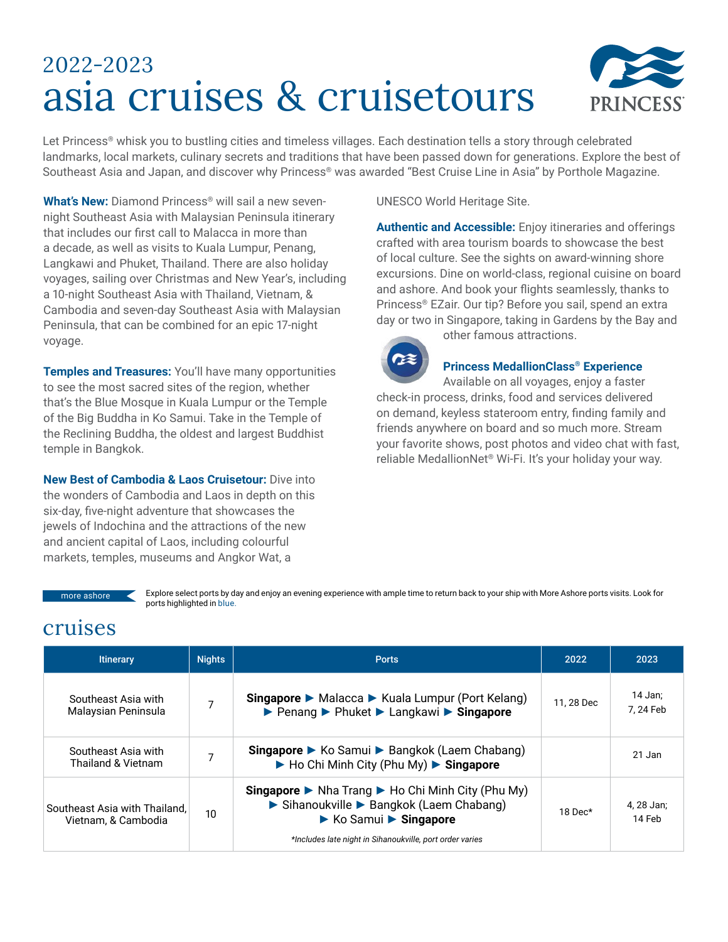# 2022-2023 asia cruises & cruisetours



Let Princess® whisk you to bustling cities and timeless villages. Each destination tells a story through celebrated landmarks, local markets, culinary secrets and traditions that have been passed down for generations. Explore the best of Southeast Asia and Japan, and discover why Princess®️ was awarded "Best Cruise Line in Asia" by Porthole Magazine.

**What's New:** Diamond Princess® will sail a new sevennight Southeast Asia with Malaysian Peninsula itinerary that includes our first call to Malacca in more than a decade, as well as visits to Kuala Lumpur, Penang, Langkawi and Phuket, Thailand. There are also holiday voyages, sailing over Christmas and New Year's, including a 10-night Southeast Asia with Thailand, Vietnam, & Cambodia and seven-day Southeast Asia with Malaysian Peninsula, that can be combined for an epic 17-night voyage.

**Temples and Treasures:** You'll have many opportunities to see the most sacred sites of the region, whether that's the Blue Mosque in Kuala Lumpur or the Temple of the Big Buddha in Ko Samui. Take in the Temple of the Reclining Buddha, the oldest and largest Buddhist temple in Bangkok.

**New Best of Cambodia & Laos Cruisetour:** Dive into the wonders of Cambodia and Laos in depth on this six-day, five-night adventure that showcases the jewels of Indochina and the attractions of the new and ancient capital of Laos, including colourful markets, temples, museums and Angkor Wat, a

UNESCO World Heritage Site.

**Authentic and Accessible:** Enjoy itineraries and offerings crafted with area tourism boards to showcase the best of local culture. See the sights on award-winning shore excursions. Dine on world-class, regional cuisine on board and ashore. And book your flights seamlessly, thanks to Princess® EZair. Our tip? Before you sail, spend an extra day or two in Singapore, taking in Gardens by the Bay and other famous attractions.



**Princess MedallionClass® Experience** Available on all voyages, enjoy a faster check-in process, drinks, food and services delivered on demand, keyless stateroom entry, finding family and friends anywhere on board and so much more. Stream your favorite shows, post photos and video chat with fast, reliable MedallionNet® Wi-Fi. It's your holiday your way.

more ashore select ports by day and enjoy an evening experience with ample time to return back to your ship with More Ashore ports visits. Look for ports highlighted in blue.

#### cruises

| <b>Itinerary</b>                                     | <b>Nights</b> | <b>Ports</b>                                                                                                                                                                                                                                         | 2022       | 2023                 |
|------------------------------------------------------|---------------|------------------------------------------------------------------------------------------------------------------------------------------------------------------------------------------------------------------------------------------------------|------------|----------------------|
| Southeast Asia with<br>Malaysian Peninsula           |               | Singapore ▶ Malacca ▶ Kuala Lumpur (Port Kelang)<br>▶ Penang ▶ Phuket ▶ Langkawi ▶ Singapore                                                                                                                                                         | 11, 28 Dec | 14 Jan;<br>7.24 Feb  |
| Southeast Asia with<br>Thailand & Vietnam            | 7             | Singapore ▶ Ko Samui ▶ Bangkok (Laem Chabang)<br>$\blacktriangleright$ Ho Chi Minh City (Phu My) $\blacktriangleright$ Singapore                                                                                                                     |            | 21 Jan               |
| Southeast Asia with Thailand,<br>Vietnam. & Cambodia | 10            | <b>Singapore</b> $\triangleright$ Nha Trang $\triangleright$ Ho Chi Minh City (Phu My)<br>Sihanoukville > Bangkok (Laem Chabang)<br>$\triangleright$ Ko Samui $\triangleright$ Singapore<br>*Includes late night in Sihanoukville, port order varies | 18 Dec*    | 4, 28 Jan;<br>14 Feb |